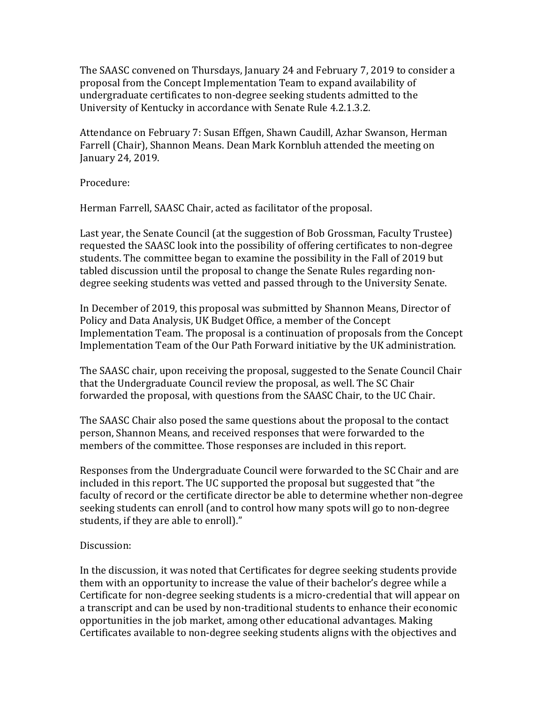The SAASC convened on Thursdays, January 24 and February 7, 2019 to consider a proposal from the Concept Implementation Team to expand availability of undergraduate certificates to non-degree seeking students admitted to the University of Kentucky in accordance with Senate Rule 4.2.1.3.2.

Attendance on February 7: Susan Effgen, Shawn Caudill, Azhar Swanson, Herman Farrell (Chair), Shannon Means. Dean Mark Kornbluh attended the meeting on January 24, 2019.

Procedure:

Herman Farrell, SAASC Chair, acted as facilitator of the proposal.

Last year, the Senate Council (at the suggestion of Bob Grossman, Faculty Trustee) requested the SAASC look into the possibility of offering certificates to non-degree students. The committee began to examine the possibility in the Fall of 2019 but tabled discussion until the proposal to change the Senate Rules regarding nondegree seeking students was vetted and passed through to the University Senate.

In December of 2019, this proposal was submitted by Shannon Means, Director of Policy and Data Analysis, UK Budget Office, a member of the Concept Implementation Team. The proposal is a continuation of proposals from the Concept Implementation Team of the Our Path Forward initiative by the UK administration.

The SAASC chair, upon receiving the proposal, suggested to the Senate Council Chair that the Undergraduate Council review the proposal, as well. The SC Chair forwarded the proposal, with questions from the SAASC Chair, to the UC Chair.

The SAASC Chair also posed the same questions about the proposal to the contact person, Shannon Means, and received responses that were forwarded to the members of the committee. Those responses are included in this report.

Responses from the Undergraduate Council were forwarded to the SC Chair and are included in this report. The UC supported the proposal but suggested that "the faculty of record or the certificate director be able to determine whether non-degree seeking students can enroll (and to control how many spots will go to non-degree students, if they are able to enroll)."

#### Discussion:

In the discussion, it was noted that Certificates for degree seeking students provide them with an opportunity to increase the value of their bachelor's degree while a Certificate for non-degree seeking students is a micro-credential that will appear on a transcript and can be used by non-traditional students to enhance their economic opportunities in the job market, among other educational advantages. Making Certificates available to non-degree seeking students aligns with the objectives and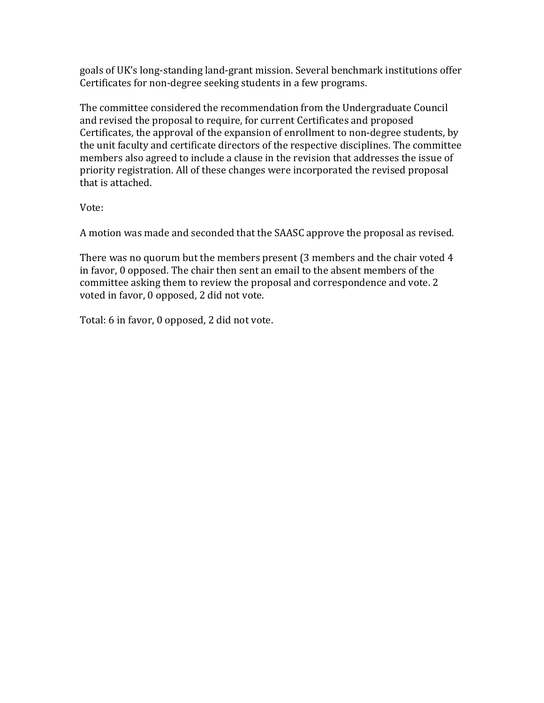goals of UK's long-standing land-grant mission. Several benchmark institutions offer Certificates for non-degree seeking students in a few programs.

The committee considered the recommendation from the Undergraduate Council and revised the proposal to require, for current Certificates and proposed Certificates, the approval of the expansion of enrollment to non-degree students, by the unit faculty and certificate directors of the respective disciplines. The committee members also agreed to include a clause in the revision that addresses the issue of priority registration. All of these changes were incorporated the revised proposal that is attached.

Vote:

A motion was made and seconded that the SAASC approve the proposal as revised.

There was no quorum but the members present (3 members and the chair voted 4 in favor, 0 opposed. The chair then sent an email to the absent members of the committee asking them to review the proposal and correspondence and vote. 2 voted in favor, 0 opposed, 2 did not vote.

Total: 6 in favor, 0 opposed, 2 did not vote.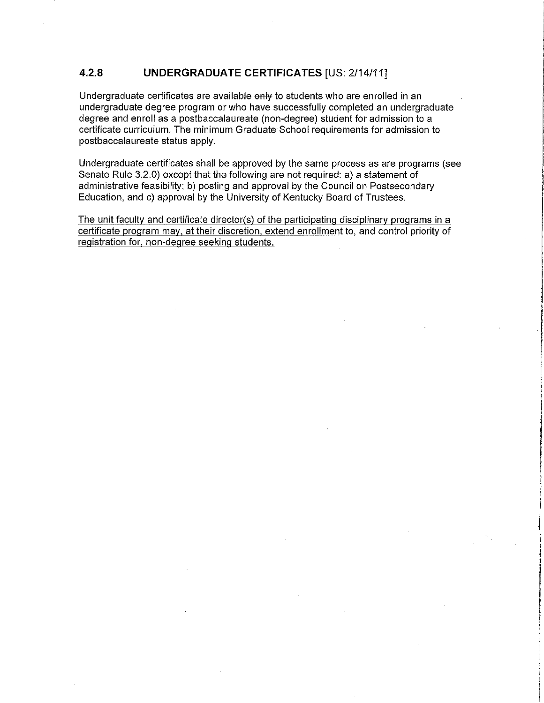#### $4.2.8$ **UNDERGRADUATE CERTIFICATES [US: 2/14/11]**

Undergraduate certificates are available only to students who are enrolled in an undergraduate degree program or who have successfully completed an undergraduate degree and enroll as a postbaccalaureate (non-degree) student for admission to a certificate curriculum. The minimum Graduate School requirements for admission to postbaccalaureate status apply.

Undergraduate certificates shall be approved by the same process as are programs (see Senate Rule 3.2.0) except that the following are not required: a) a statement of administrative feasibility; b) posting and approval by the Council on Postsecondary Education, and c) approval by the University of Kentucky Board of Trustees.

The unit faculty and certificate director(s) of the participating disciplinary programs in a certificate program may, at their discretion, extend enrollment to, and control priority of registration for, non-degree seeking students.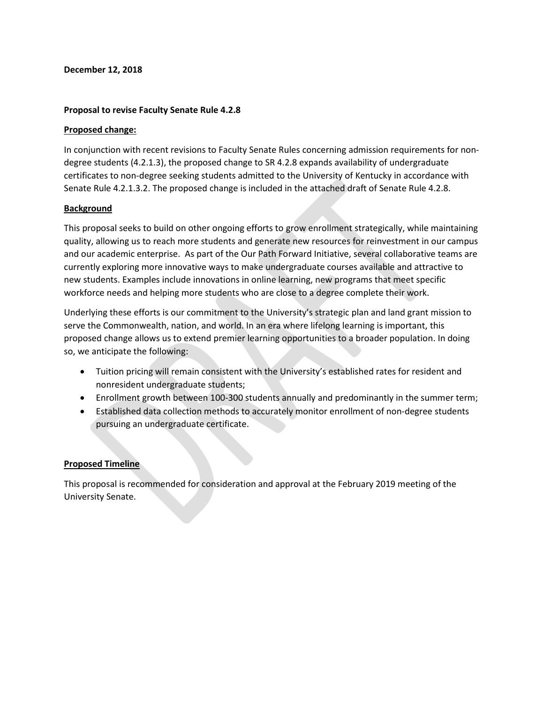#### **December 12, 2018**

#### **Proposal to revise Faculty Senate Rule 4.2.8**

#### **Proposed change:**

In conjunction with recent revisions to Faculty Senate Rules concerning admission requirements for nondegree students (4.2.1.3), the proposed change to SR 4.2.8 expands availability of undergraduate certificates to non-degree seeking students admitted to the University of Kentucky in accordance with Senate Rule 4.2.1.3.2. The proposed change is included in the attached draft of Senate Rule 4.2.8.

#### **Background**

This proposal seeks to build on other ongoing efforts to grow enrollment strategically, while maintaining quality, allowing us to reach more students and generate new resources for reinvestment in our campus and our academic enterprise. As part of the Our Path Forward Initiative, several collaborative teams are currently exploring more innovative ways to make undergraduate courses available and attractive to new students. Examples include innovations in online learning, new programs that meet specific workforce needs and helping more students who are close to a degree complete their work.

Underlying these efforts is our commitment to the University's strategic plan and land grant mission to serve the Commonwealth, nation, and world. In an era where lifelong learning is important, this proposed change allows us to extend premier learning opportunities to a broader population. In doing so, we anticipate the following:

- Tuition pricing will remain consistent with the University's established rates for resident and nonresident undergraduate students;
- Enrollment growth between 100-300 students annually and predominantly in the summer term;
- Established data collection methods to accurately monitor enrollment of non-degree students pursuing an undergraduate certificate.

#### **Proposed Timeline**

This proposal is recommended for consideration and approval at the February 2019 meeting of the University Senate.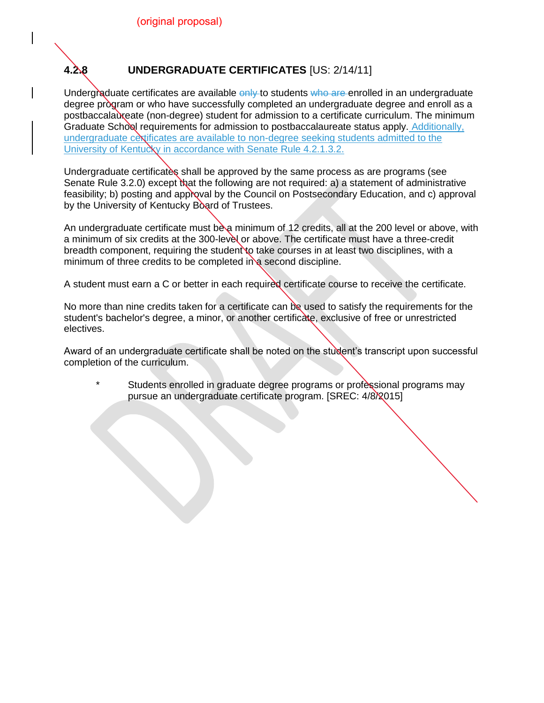

### **4.2.8 UNDERGRADUATE CERTIFICATES** [US: 2/14/11]

Undergraduate certificates are available only to students who are enrolled in an undergraduate degree program or who have successfully completed an undergraduate degree and enroll as a postbaccalaureate (non-degree) student for admission to a certificate curriculum. The minimum Graduate School requirements for admission to postbaccalaureate status apply. Additionally, undergraduate certificates are available to non-degree seeking students admitted to the University of Kentucky in accordance with Senate Rule 4.2.1.3.2.

Undergraduate certificates shall be approved by the same process as are programs (see Senate Rule 3.2.0) except that the following are not required: a) a statement of administrative feasibility; b) posting and approval by the Council on Postsecondary Education, and c) approval by the University of Kentucky Board of Trustees.

An undergraduate certificate must be a minimum of 12 credits, all at the 200 level or above, with a minimum of six credits at the 300-level or above. The certificate must have a three-credit breadth component, requiring the student to take courses in at least two disciplines, with a minimum of three credits to be completed in a second discipline.

A student must earn a C or better in each required certificate course to receive the certificate.

No more than nine credits taken for a certificate can be used to satisfy the requirements for the student's bachelor's degree, a minor, or another certificate, exclusive of free or unrestricted electives.

Award of an undergraduate certificate shall be noted on the student's transcript upon successful completion of the curriculum.

\* Students enrolled in graduate degree programs or professional programs may pursue an undergraduate certificate program. [SREC: 4/8/2015]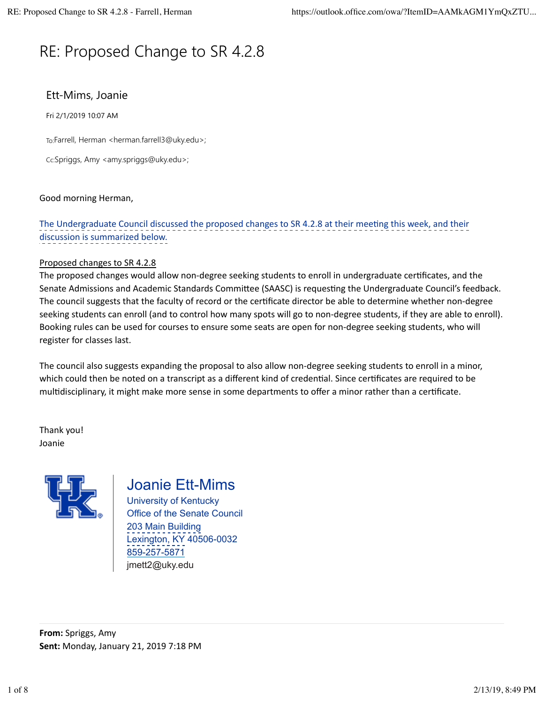# RE: Proposed Change to SR 4.2.8

# Ett-Mims, Joanie

Fri 2/1/2019 10:07 AM

To:Farrell, Herman <herman.farrell3@uky.edu>;

Cc:Spriggs, Amy <amy.spriggs@uky.edu>;

#### Good morning Herman,

The Undergraduate Council discussed the proposed changes to SR 4.2.8 at their meeting this week, and their discussion is summarized below.

#### Proposed changes to SR 4.2.8

The proposed changes would allow non-degree seeking students to enroll in undergraduate certificates, and the Senate Admissions and Academic Standards Committee (SAASC) is requesting the Undergraduate Council's feedback. The council suggests that the faculty of record or the certificate director be able to determine whether non-degree seeking students can enroll (and to control how many spots will go to non-degree students, if they are able to enroll). Booking rules can be used for courses to ensure some seats are open for non-degree seeking students, who will register for classes last.

The council also suggests expanding the proposal to also allow non-degree seeking students to enroll in a minor, which could then be noted on a transcript as a different kind of credential. Since certificates are required to be multidisciplinary, it might make more sense in some departments to offer a minor rather than a certificate.

Thank you! Joanie



# Joanie Ett-Mims

University of Kentucky Office of the Senate Council 203 Main Building Lexington, KY 40506-0032 859-257-5871 jmett2@uky.edu

**From:** Spriggs, Amy **Sent:** Monday, January 21, 2019 7:18 PM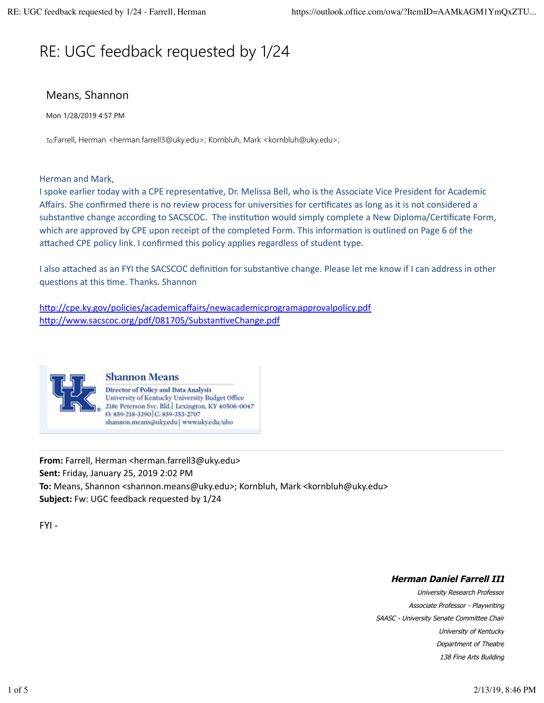# RE: UGC feedback requested by 1/24

## Means, Shannon

Mon 1/28/2019 4:57 PM

To:Farrell, Herman <herman.farrell3@uky.edu>; Kornbluh, Mark <kornbluh@uky.edu>;

Herman and Mark,

I spoke earlier today with a CPE representative, Dr. Melissa Bell, who is the Associate Vice President for Academic Affairs. She confirmed there is no review process for universities for certificates as long as it is not considered a substantive change according to SACSCOC. The institution would simply complete a New Diploma/Certificate Form, which are approved by CPE upon receipt of the completed Form. This information is outlined on Page 6 of the attached CPE policy link. I confirmed this policy applies regardless of student type.

I also attached as an FYI the SACSCOC definition for substantive change. Please let me know if I can address in other questions at this time. Thanks. Shannon

http://cpe.ky.gov/policies/academicaffairs/newacademicprogramapprovalpolicy.pdf http://www.sacscoc.org/pdf/081705/SubstantiveChange.pdf



#### **Shannon Means**

**Director of Policy and Data Analysis** University of Kentucky University Budget Office 218e Peterson Svc. Bld. Lexington, KY 40506-0047 O: 859-218-3390 C: 859-353-2707 shannon.means@uky.edu | www.uky.edu/ubo

**From:** Farrell, Herman <herman.farrell3@uky.edu> **Sent:** Friday, January 25, 2019 2:02 PM **To:** Means, Shannon <shannon.means@uky.edu>; Kornbluh, Mark <kornbluh@uky.edu> **Subject:** Fw: UGC feedback requested by 1/24

 $FYI -$ 

#### **Herman Daniel Farrell III**

University Research Professor Associate Professor - Playwriting SAASC - University Senate Committee Chair University of Kentucky Department of Theatre 138 Fine Arts Building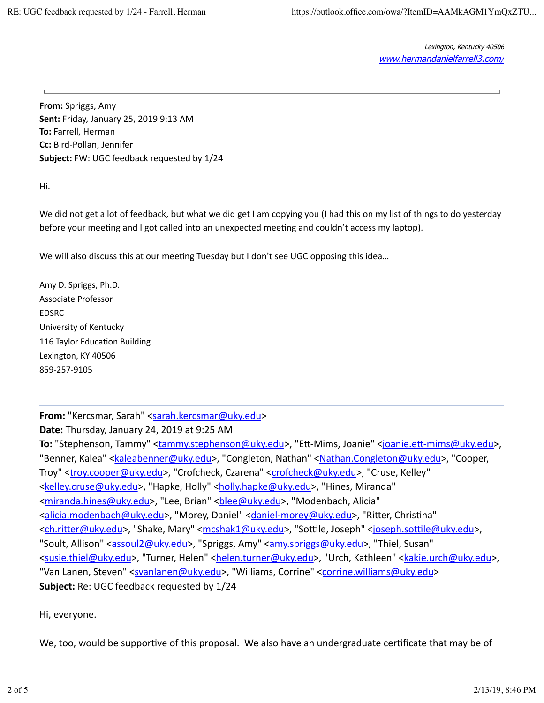**From:** Spriggs, Amy **Sent:** Friday, January 25, 2019 9:13 AM **To:** Farrell, Herman **Cc:** Bird-Pollan, Jennifer **Subject:** FW: UGC feedback requested by 1/24

Hi.

We did not get a lot of feedback, but what we did get I am copying you (I had this on my list of things to do yesterday before your meeting and I got called into an unexpected meeting and couldn't access my laptop).

We will also discuss this at our meeting Tuesday but I don't see UGC opposing this idea...

Amy D. Spriggs, Ph.D. Associate Professor EDSRC University of Kentucky 116 Taylor Education Building Lexington, KY 40506 859-257-9105

From: "Kercsmar, Sarah" <sarah.kercsmar@uky.edu>

**Date:** Thursday, January 24, 2019 at 9:25 AM

To: "Stephenson, Tammy" <**tammy.stephenson@uky.edu>**, "Ett-Mims, Joanie" <joanie.ett-mims@uky.edu>, "Benner, Kalea" <*kaleabenner@uky.edu>*, "Congleton, Nathan" <*Nathan.Congleton@uky.edu>*, "Cooper, Troy" <troy.cooper@uky.edu>, "Crofcheck, Czarena" <crofcheck@uky.edu>, "Cruse, Kelley" <kelley.cruse@uky.edu>, "Hapke, Holly" <holly.hapke@uky.edu>, "Hines, Miranda" <miranda.hines@uky.edu>, "Lee, Brian" <br />blee@uky.edu>, "Modenbach, Alicia" <alicia.modenbach@uky.edu>, "Morey, Daniel" <daniel-morey@uky.edu>, "Ritter, Christina" <ch.ritter@uky.edu>, "Shake, Mary" <mcshak1@uky.edu>, "Sottile, Joseph" <joseph.sottile@uky.edu>, "Soult, Allison" <assoul2@uky.edu>, "Spriggs, Amy" <amy.spriggs@uky.edu>, "Thiel, Susan" <susie.thiel@uky.edu>, "Turner, Helen" <helen.turner@uky.edu>, "Urch, Kathleen" <kakie.urch@uky.edu>, "Van Lanen, Steven" <svanlanen@uky.edu>, "Williams, Corrine" <corrine.williams@uky.edu> **Subject:** Re: UGC feedback requested by 1/24

Hi, everyone.

We, too, would be supportive of this proposal. We also have an undergraduate certificate that may be of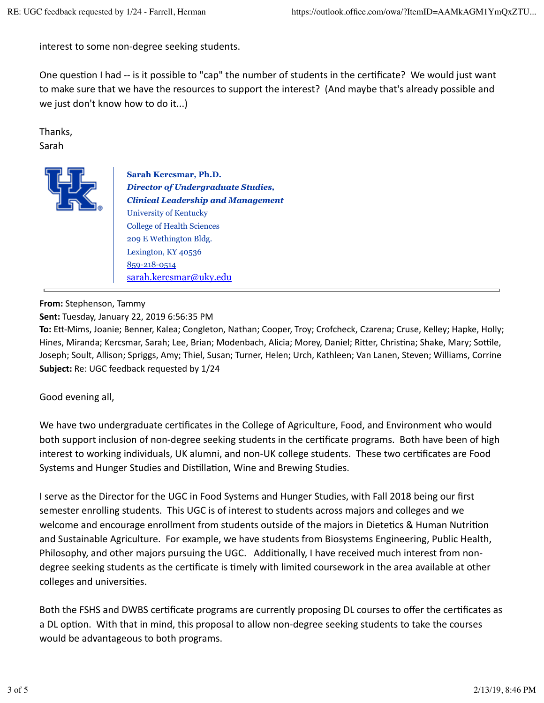interest to some non-degree seeking students.

One question I had -- is it possible to "cap" the number of students in the certificate? We would just want to make sure that we have the resources to support the interest? (And maybe that's already possible and we just don't know how to do it...)

Thanks, Sarah 



**Sarah Kercsmar, Ph.D.** *Director of Undergraduate Studies, Clinical Leadership and Management* University of Kentucky College of Health Sciences 209 E Wethington Bldg. Lexington, KY 40536 859-218-0514 sarah.kercsmar@uky.edu

#### **From:** Stephenson, Tammy

**Sent:** Tuesday, January 22, 2019 6:56:35 PM

**To:** Ett-Mims, Joanie; Benner, Kalea; Congleton, Nathan; Cooper, Troy; Crofcheck, Czarena; Cruse, Kelley; Hapke, Holly; Hines, Miranda; Kercsmar, Sarah; Lee, Brian; Modenbach, Alicia; Morey, Daniel; Ritter, Christina; Shake, Mary; Sottile, Joseph; Soult, Allison; Spriggs, Amy; Thiel, Susan; Turner, Helen; Urch, Kathleen; Van Lanen, Steven; Williams, Corrine **Subject:** Re: UGC feedback requested by 1/24

Good evening all,

We have two undergraduate certificates in the College of Agriculture, Food, and Environment who would both support inclusion of non-degree seeking students in the certificate programs. Both have been of high interest to working individuals, UK alumni, and non-UK college students. These two certificates are Food Systems and Hunger Studies and Distillation, Wine and Brewing Studies.

I serve as the Director for the UGC in Food Systems and Hunger Studies, with Fall 2018 being our first semester enrolling students. This UGC is of interest to students across majors and colleges and we welcome and encourage enrollment from students outside of the majors in Dietetics & Human Nutrition and Sustainable Agriculture. For example, we have students from Biosystems Engineering, Public Health, Philosophy, and other majors pursuing the UGC. Additionally, I have received much interest from nondegree seeking students as the certificate is timely with limited coursework in the area available at other colleges and universities.

Both the FSHS and DWBS certificate programs are currently proposing DL courses to offer the certificates as a DL option. With that in mind, this proposal to allow non-degree seeking students to take the courses would be advantageous to both programs.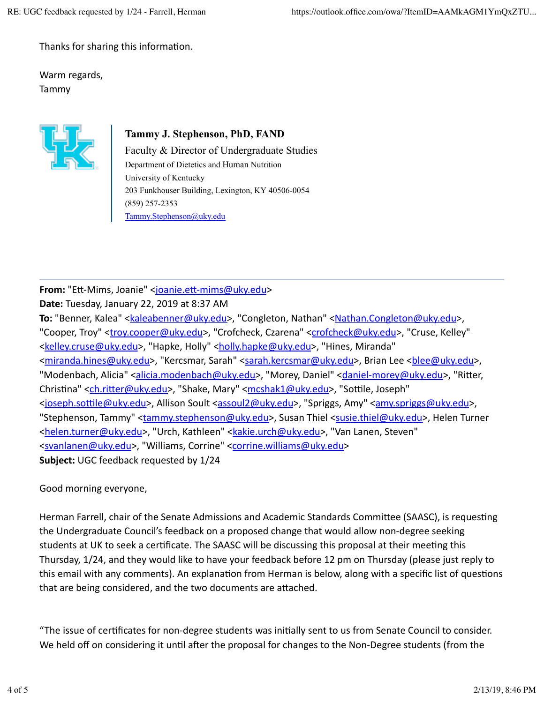Thanks for sharing this information.

Warm regards, Tammy



## **Tammy J. Stephenson, PhD, FAND**

Faculty & Director of Undergraduate Studies Department of Dietetics and Human Nutrition University of Kentucky 203 Funkhouser Building, Lexington, KY 40506-0054 (859) 257-2353 Tammy.Stephenson@uky.edu

**From:** "Ett-Mims, Joanie" <joanie.ett-mims@uky.edu> **Date:** Tuesday, January 22, 2019 at 8:37 AM

To: "Benner, Kalea" <**kaleabenner@uky.edu>**, "Congleton, Nathan" <Nathan.Congleton@uky.edu>, "Cooper, Troy" <troy.cooper@uky.edu>, "Crofcheck, Czarena" <crofcheck@uky.edu>, "Cruse, Kelley" <kelley.cruse@uky.edu>, "Hapke, Holly" <holly.hapke@uky.edu>, "Hines, Miranda" <miranda.hines@uky.edu>, "Kercsmar, Sarah" <sarah.kercsmar@uky.edu>, Brian Lee <blee@uky.edu>, "Modenbach, Alicia" <alicia.modenbach@uky.edu>, "Morey, Daniel" <daniel-morey@uky.edu>, "Ritter, Christina" <ch.ritter@uky.edu>, "Shake, Mary" <mcshak1@uky.edu>, "Sottile, Joseph" <ioseph.sottile@uky.edu>, Allison Soult <assoul2@uky.edu>, "Spriggs, Amy" <amy.spriggs@uky.edu>, "Stephenson, Tammy" <tammy.stephenson@uky.edu>, Susan Thiel <susie.thiel@uky.edu>, Helen Turner <helen.turner@uky.edu>, "Urch, Kathleen" <kakie.urch@uky.edu>, "Van Lanen, Steven" <svanlanen@uky.edu>, "Williams, Corrine" <corrine.williams@uky.edu> **Subject:** UGC feedback requested by 1/24

Good morning everyone,

Herman Farrell, chair of the Senate Admissions and Academic Standards Committee (SAASC), is requesting the Undergraduate Council's feedback on a proposed change that would allow non-degree seeking students at UK to seek a certificate. The SAASC will be discussing this proposal at their meeting this Thursday, 1/24, and they would like to have your feedback before 12 pm on Thursday (please just reply to this email with any comments). An explanation from Herman is below, along with a specific list of questions that are being considered, and the two documents are attached.

"The issue of certificates for non-degree students was initially sent to us from Senate Council to consider. We held off on considering it until after the proposal for changes to the Non-Degree students (from the